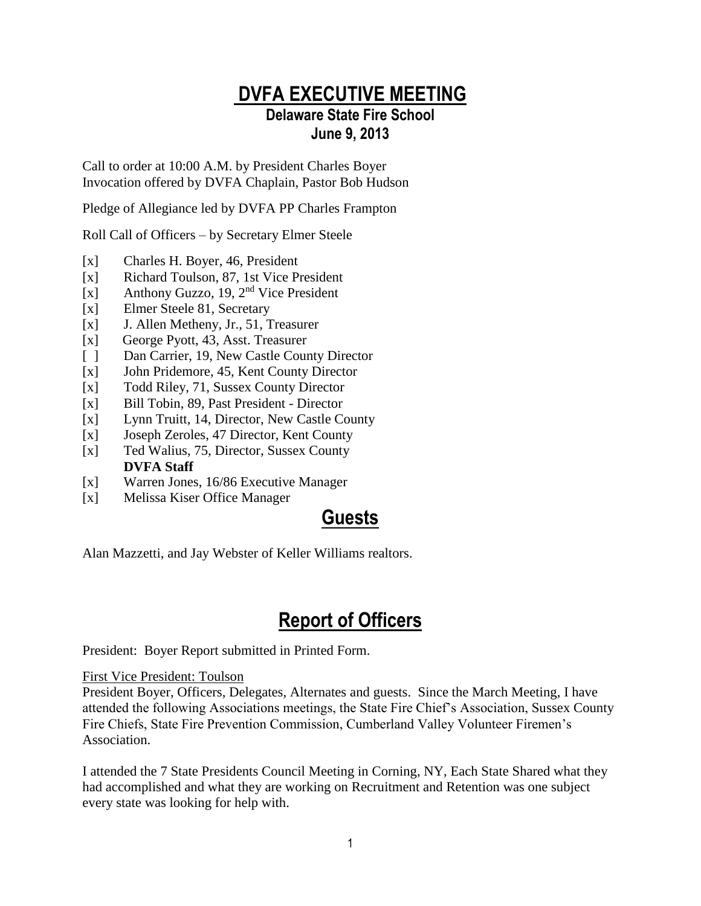### **DVFA EXECUTIVE MEETING Delaware State Fire School June 9, 2013**

Call to order at 10:00 A.M. by President Charles Boyer Invocation offered by DVFA Chaplain, Pastor Bob Hudson

Pledge of Allegiance led by DVFA PP Charles Frampton

Roll Call of Officers – by Secretary Elmer Steele

- [x] Charles H. Boyer, 46, President
- [x] Richard Toulson, 87, 1st Vice President
- [x] Anthony Guzzo, 19, 2<sup>nd</sup> Vice President
- [x] Elmer Steele 81, Secretary
- [x] J. Allen Metheny, Jr., 51, Treasurer
- [x] George Pyott, 43, Asst. Treasurer
- [ ] Dan Carrier, 19, New Castle County Director
- [x] John Pridemore, 45, Kent County Director
- [x] Todd Riley, 71, Sussex County Director
- [x] Bill Tobin, 89, Past President Director
- [x] Lynn Truitt, 14, Director, New Castle County
- [x] Joseph Zeroles, 47 Director, Kent County
- [x] Ted Walius, 75, Director, Sussex County **DVFA Staff**
- [x] Warren Jones, 16/86 Executive Manager
- [x] Melissa Kiser Office Manager

### **Guests**

Alan Mazzetti, and Jay Webster of Keller Williams realtors.

# **Report of Officers**

President: Boyer Report submitted in Printed Form.

#### First Vice President: Toulson

President Boyer, Officers, Delegates, Alternates and guests. Since the March Meeting, I have attended the following Associations meetings, the State Fire Chief's Association, Sussex County Fire Chiefs, State Fire Prevention Commission, Cumberland Valley Volunteer Firemen's Association.

I attended the 7 State Presidents Council Meeting in Corning, NY, Each State Shared what they had accomplished and what they are working on Recruitment and Retention was one subject every state was looking for help with.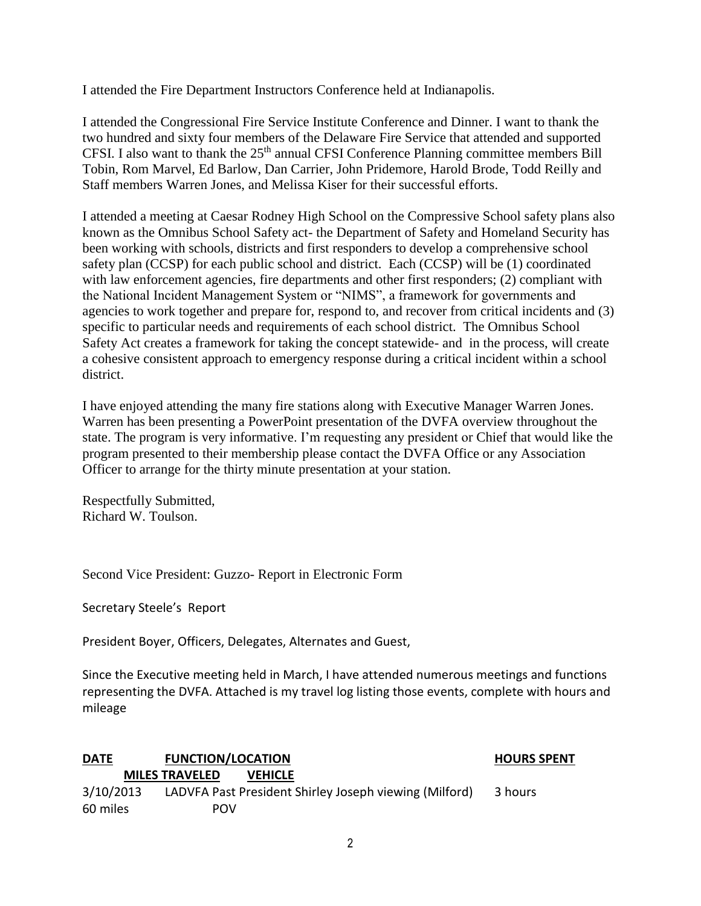I attended the Fire Department Instructors Conference held at Indianapolis.

I attended the Congressional Fire Service Institute Conference and Dinner. I want to thank the two hundred and sixty four members of the Delaware Fire Service that attended and supported CFSI. I also want to thank the  $25<sup>th</sup>$  annual CFSI Conference Planning committee members Bill Tobin, Rom Marvel, Ed Barlow, Dan Carrier, John Pridemore, Harold Brode, Todd Reilly and Staff members Warren Jones, and Melissa Kiser for their successful efforts.

I attended a meeting at Caesar Rodney High School on the Compressive School safety plans also known as the Omnibus School Safety act- the Department of Safety and Homeland Security has been working with schools, districts and first responders to develop a comprehensive school safety plan (CCSP) for each public school and district. Each (CCSP) will be (1) coordinated with law enforcement agencies, fire departments and other first responders; (2) compliant with the National Incident Management System or "NIMS", a framework for governments and agencies to work together and prepare for, respond to, and recover from critical incidents and (3) specific to particular needs and requirements of each school district. The Omnibus School Safety Act creates a framework for taking the concept statewide- and in the process, will create a cohesive consistent approach to emergency response during a critical incident within a school district.

I have enjoyed attending the many fire stations along with Executive Manager Warren Jones. Warren has been presenting a PowerPoint presentation of the DVFA overview throughout the state. The program is very informative. I'm requesting any president or Chief that would like the program presented to their membership please contact the DVFA Office or any Association Officer to arrange for the thirty minute presentation at your station.

Respectfully Submitted, Richard W. Toulson.

Second Vice President: Guzzo- Report in Electronic Form

Secretary Steele's Report

President Boyer, Officers, Delegates, Alternates and Guest,

Since the Executive meeting held in March, I have attended numerous meetings and functions representing the DVFA. Attached is my travel log listing those events, complete with hours and mileage

| <b>DATE</b> | <b>FUNCTION/LOCATION</b>                               | <b>HOURS SPENT</b> |
|-------------|--------------------------------------------------------|--------------------|
|             | <b>MILES TRAVELED</b><br><b>VEHICLE</b>                |                    |
| 3/10/2013   | LADVFA Past President Shirley Joseph viewing (Milford) | 3 hours            |
| 60 miles    | <b>POV</b>                                             |                    |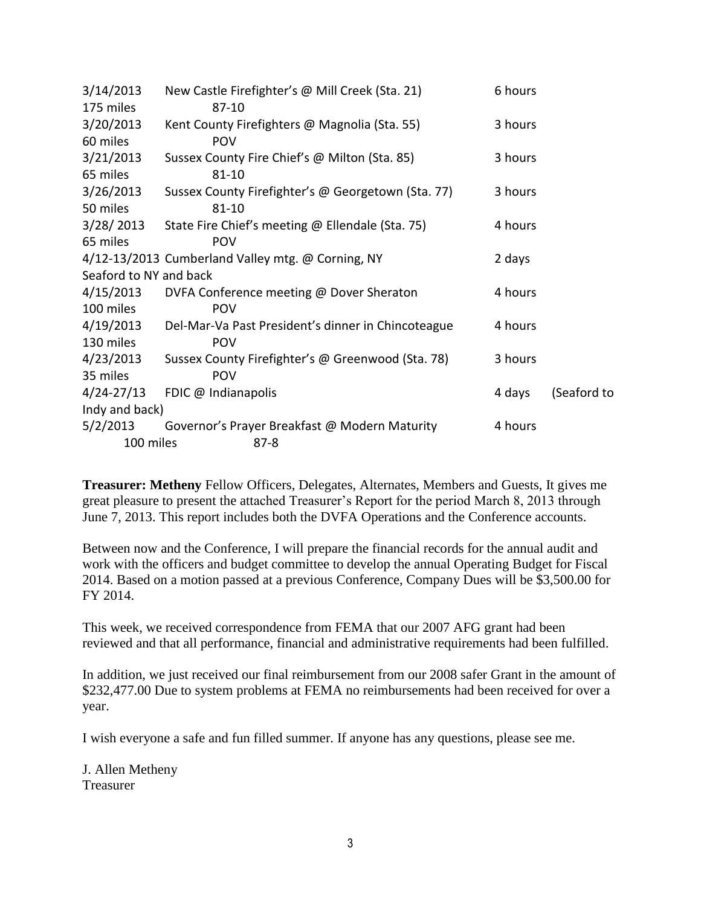| 3/14/2013              | New Castle Firefighter's @ Mill Creek (Sta. 21)              | 6 hours |             |
|------------------------|--------------------------------------------------------------|---------|-------------|
| 175 miles              | 87-10                                                        |         |             |
| 3/20/2013              | Kent County Firefighters @ Magnolia (Sta. 55)                | 3 hours |             |
| 60 miles               | <b>POV</b>                                                   |         |             |
| 3/21/2013              | Sussex County Fire Chief's @ Milton (Sta. 85)                | 3 hours |             |
| 65 miles               | $81 - 10$                                                    |         |             |
| 3/26/2013              | Sussex County Firefighter's @ Georgetown (Sta. 77)           | 3 hours |             |
| 50 miles               | $81 - 10$                                                    |         |             |
|                        | 3/28/2013 State Fire Chief's meeting @ Ellendale (Sta. 75)   | 4 hours |             |
| 65 miles               | <b>POV</b>                                                   |         |             |
|                        | 4/12-13/2013 Cumberland Valley mtg. @ Corning, NY            | 2 days  |             |
| Seaford to NY and back |                                                              |         |             |
| 4/15/2013              | DVFA Conference meeting @ Dover Sheraton                     | 4 hours |             |
| 100 miles              | POV                                                          |         |             |
|                        | 4/19/2013 Del-Mar-Va Past President's dinner in Chincoteague | 4 hours |             |
| 130 miles              | POV                                                          |         |             |
| 4/23/2013              | Sussex County Firefighter's @ Greenwood (Sta. 78)            | 3 hours |             |
| 35 miles               | <b>POV</b>                                                   |         |             |
| $4/24 - 27/13$         | FDIC @ Indianapolis                                          | 4 days  | (Seaford to |
| Indy and back)         |                                                              |         |             |
| 5/2/2013               | Governor's Prayer Breakfast @ Modern Maturity                | 4 hours |             |
| 100 miles              | $87 - 8$                                                     |         |             |

**Treasurer: Metheny** Fellow Officers, Delegates, Alternates, Members and Guests, It gives me great pleasure to present the attached Treasurer's Report for the period March 8, 2013 through June 7, 2013. This report includes both the DVFA Operations and the Conference accounts.

Between now and the Conference, I will prepare the financial records for the annual audit and work with the officers and budget committee to develop the annual Operating Budget for Fiscal 2014. Based on a motion passed at a previous Conference, Company Dues will be \$3,500.00 for FY 2014.

This week, we received correspondence from FEMA that our 2007 AFG grant had been reviewed and that all performance, financial and administrative requirements had been fulfilled.

In addition, we just received our final reimbursement from our 2008 safer Grant in the amount of \$232,477.00 Due to system problems at FEMA no reimbursements had been received for over a year.

I wish everyone a safe and fun filled summer. If anyone has any questions, please see me.

J. Allen Metheny Treasurer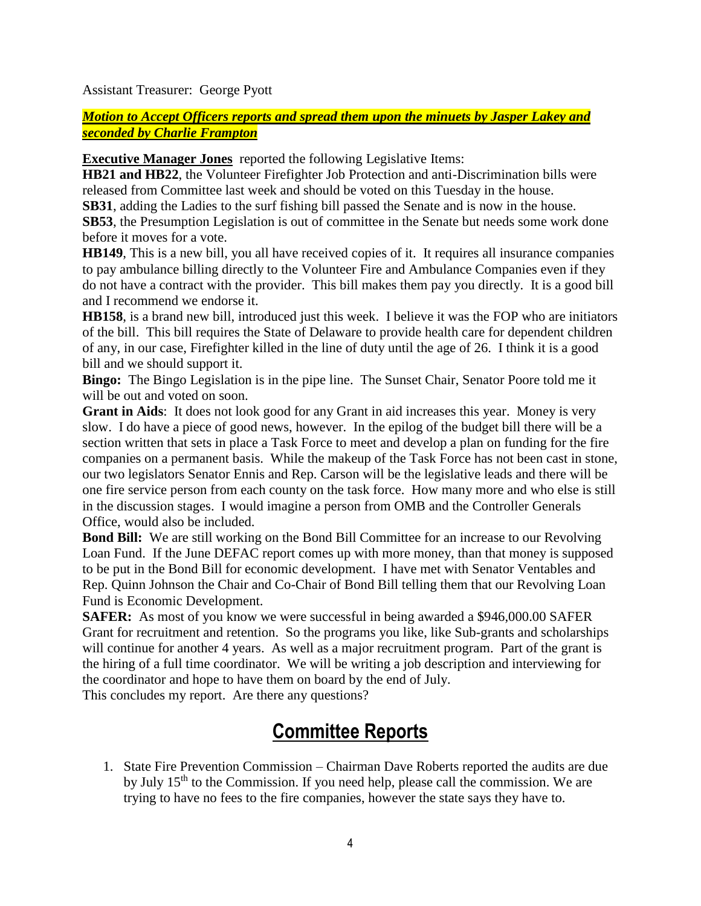Assistant Treasurer: George Pyott

*Motion to Accept Officers reports and spread them upon the minuets by Jasper Lakey and seconded by Charlie Frampton*

**Executive Manager Jones** reported the following Legislative Items:

**HB21 and HB22**, the Volunteer Firefighter Job Protection and anti-Discrimination bills were released from Committee last week and should be voted on this Tuesday in the house.

**SB31**, adding the Ladies to the surf fishing bill passed the Senate and is now in the house.

**SB53**, the Presumption Legislation is out of committee in the Senate but needs some work done before it moves for a vote.

**HB149**, This is a new bill, you all have received copies of it. It requires all insurance companies to pay ambulance billing directly to the Volunteer Fire and Ambulance Companies even if they do not have a contract with the provider. This bill makes them pay you directly. It is a good bill and I recommend we endorse it.

**HB158**, is a brand new bill, introduced just this week. I believe it was the FOP who are initiators of the bill. This bill requires the State of Delaware to provide health care for dependent children of any, in our case, Firefighter killed in the line of duty until the age of 26. I think it is a good bill and we should support it.

**Bingo:** The Bingo Legislation is in the pipe line. The Sunset Chair, Senator Poore told me it will be out and voted on soon.

**Grant in Aids**: It does not look good for any Grant in aid increases this year. Money is very slow. I do have a piece of good news, however. In the epilog of the budget bill there will be a section written that sets in place a Task Force to meet and develop a plan on funding for the fire companies on a permanent basis. While the makeup of the Task Force has not been cast in stone, our two legislators Senator Ennis and Rep. Carson will be the legislative leads and there will be one fire service person from each county on the task force. How many more and who else is still in the discussion stages. I would imagine a person from OMB and the Controller Generals Office, would also be included.

**Bond Bill:** We are still working on the Bond Bill Committee for an increase to our Revolving Loan Fund. If the June DEFAC report comes up with more money, than that money is supposed to be put in the Bond Bill for economic development. I have met with Senator Ventables and Rep. Quinn Johnson the Chair and Co-Chair of Bond Bill telling them that our Revolving Loan Fund is Economic Development.

**SAFER:** As most of you know we were successful in being awarded a \$946,000.00 SAFER Grant for recruitment and retention. So the programs you like, like Sub-grants and scholarships will continue for another 4 years. As well as a major recruitment program. Part of the grant is the hiring of a full time coordinator. We will be writing a job description and interviewing for the coordinator and hope to have them on board by the end of July.

This concludes my report. Are there any questions?

### **Committee Reports**

1. State Fire Prevention Commission – Chairman Dave Roberts reported the audits are due by July 15<sup>th</sup> to the Commission. If you need help, please call the commission. We are trying to have no fees to the fire companies, however the state says they have to.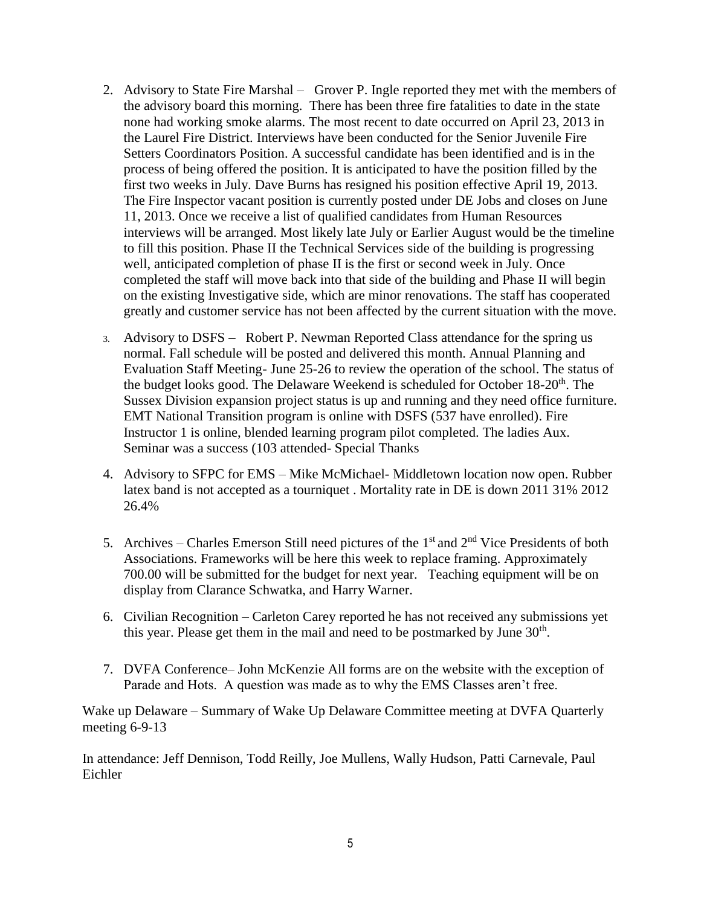- 2. Advisory to State Fire Marshal Grover P. Ingle reported they met with the members of the advisory board this morning. There has been three fire fatalities to date in the state none had working smoke alarms. The most recent to date occurred on April 23, 2013 in the Laurel Fire District. Interviews have been conducted for the Senior Juvenile Fire Setters Coordinators Position. A successful candidate has been identified and is in the process of being offered the position. It is anticipated to have the position filled by the first two weeks in July. Dave Burns has resigned his position effective April 19, 2013. The Fire Inspector vacant position is currently posted under DE Jobs and closes on June 11, 2013. Once we receive a list of qualified candidates from Human Resources interviews will be arranged. Most likely late July or Earlier August would be the timeline to fill this position. Phase II the Technical Services side of the building is progressing well, anticipated completion of phase II is the first or second week in July. Once completed the staff will move back into that side of the building and Phase II will begin on the existing Investigative side, which are minor renovations. The staff has cooperated greatly and customer service has not been affected by the current situation with the move.
- 3. Advisory to DSFS Robert P. Newman Reported Class attendance for the spring us normal. Fall schedule will be posted and delivered this month. Annual Planning and Evaluation Staff Meeting- June 25-26 to review the operation of the school. The status of the budget looks good. The Delaware Weekend is scheduled for October  $18\text{-}20^{\text{th}}$ . The Sussex Division expansion project status is up and running and they need office furniture. EMT National Transition program is online with DSFS (537 have enrolled). Fire Instructor 1 is online, blended learning program pilot completed. The ladies Aux. Seminar was a success (103 attended- Special Thanks
- 4. Advisory to SFPC for EMS Mike McMichael- Middletown location now open. Rubber latex band is not accepted as a tourniquet . Mortality rate in DE is down 2011 31% 2012 26.4%
- 5. Archives Charles Emerson Still need pictures of the  $1<sup>st</sup>$  and  $2<sup>nd</sup>$  Vice Presidents of both Associations. Frameworks will be here this week to replace framing. Approximately 700.00 will be submitted for the budget for next year. Teaching equipment will be on display from Clarance Schwatka, and Harry Warner.
- 6. Civilian Recognition Carleton Carey reported he has not received any submissions yet this year. Please get them in the mail and need to be postmarked by June  $30<sup>th</sup>$ .
- 7. DVFA Conference– John McKenzie All forms are on the website with the exception of Parade and Hots. A question was made as to why the EMS Classes aren't free.

Wake up Delaware – Summary of Wake Up Delaware Committee meeting at DVFA Quarterly meeting 6-9-13

In attendance: Jeff Dennison, Todd Reilly, Joe Mullens, Wally Hudson, Patti Carnevale, Paul Eichler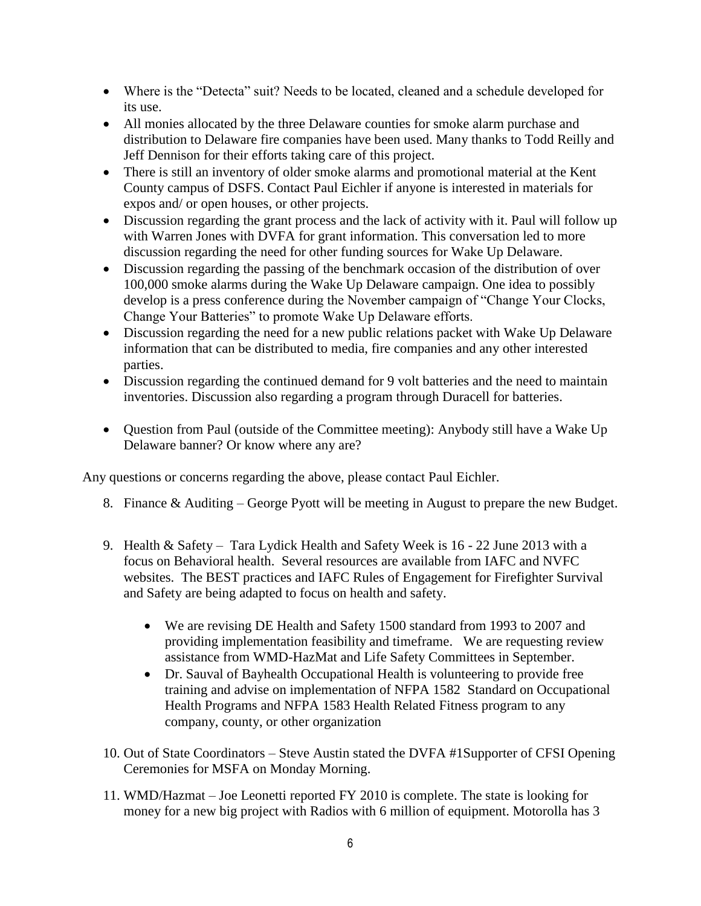- Where is the "Detecta" suit? Needs to be located, cleaned and a schedule developed for its use.
- All monies allocated by the three Delaware counties for smoke alarm purchase and distribution to Delaware fire companies have been used. Many thanks to Todd Reilly and Jeff Dennison for their efforts taking care of this project.
- There is still an inventory of older smoke alarms and promotional material at the Kent County campus of DSFS. Contact Paul Eichler if anyone is interested in materials for expos and/ or open houses, or other projects.
- Discussion regarding the grant process and the lack of activity with it. Paul will follow up with Warren Jones with DVFA for grant information. This conversation led to more discussion regarding the need for other funding sources for Wake Up Delaware.
- Discussion regarding the passing of the benchmark occasion of the distribution of over 100,000 smoke alarms during the Wake Up Delaware campaign. One idea to possibly develop is a press conference during the November campaign of "Change Your Clocks, Change Your Batteries" to promote Wake Up Delaware efforts.
- Discussion regarding the need for a new public relations packet with Wake Up Delaware information that can be distributed to media, fire companies and any other interested parties.
- Discussion regarding the continued demand for 9 volt batteries and the need to maintain inventories. Discussion also regarding a program through Duracell for batteries.
- Question from Paul (outside of the Committee meeting): Anybody still have a Wake Up Delaware banner? Or know where any are?

Any questions or concerns regarding the above, please contact Paul Eichler.

- 8. Finance & Auditing George Pyott will be meeting in August to prepare the new Budget.
- 9. Health & Safety Tara Lydick Health and Safety Week is 16 22 June 2013 with a focus on Behavioral health. Several resources are available from IAFC and NVFC websites. The BEST practices and IAFC Rules of Engagement for Firefighter Survival and Safety are being adapted to focus on health and safety.
	- We are revising DE Health and Safety 1500 standard from 1993 to 2007 and providing implementation feasibility and timeframe. We are requesting review assistance from WMD-HazMat and Life Safety Committees in September.
	- Dr. Sauval of Bayhealth Occupational Health is volunteering to provide free training and advise on implementation of NFPA 1582 Standard on Occupational Health Programs and NFPA 1583 Health Related Fitness program to any company, county, or other organization
- 10. Out of State Coordinators Steve Austin stated the DVFA #1Supporter of CFSI Opening Ceremonies for MSFA on Monday Morning.
- 11. WMD/Hazmat Joe Leonetti reported FY 2010 is complete. The state is looking for money for a new big project with Radios with 6 million of equipment. Motorolla has 3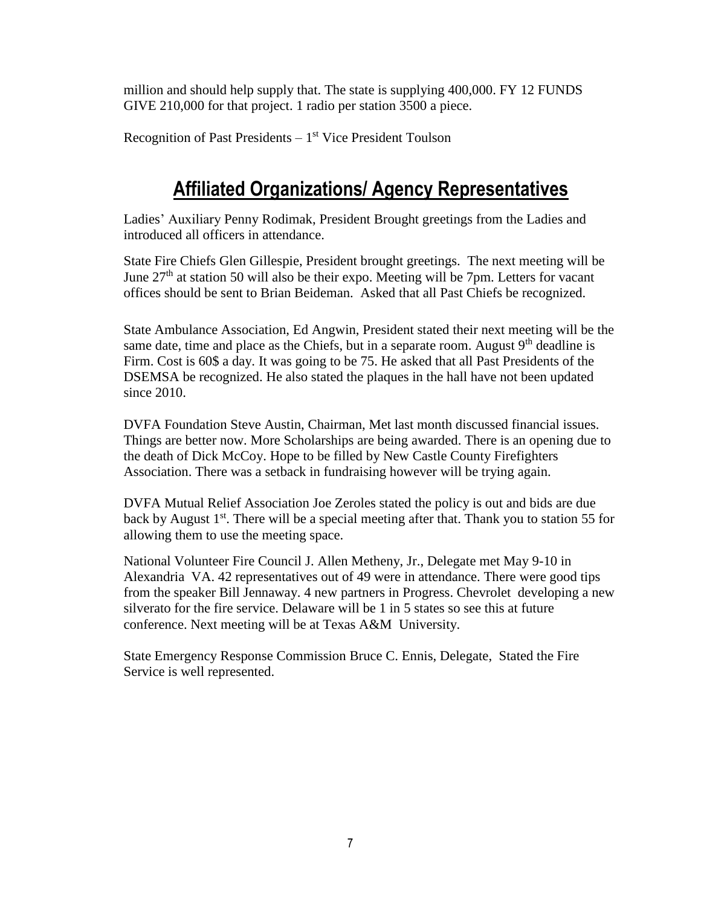million and should help supply that. The state is supplying 400,000. FY 12 FUNDS GIVE 210,000 for that project. 1 radio per station 3500 a piece.

Recognition of Past Presidents – 1<sup>st</sup> Vice President Toulson

### **Affiliated Organizations/ Agency Representatives**

Ladies' Auxiliary Penny Rodimak, President Brought greetings from the Ladies and introduced all officers in attendance.

State Fire Chiefs Glen Gillespie, President brought greetings. The next meeting will be June  $27<sup>th</sup>$  at station 50 will also be their expo. Meeting will be 7pm. Letters for vacant offices should be sent to Brian Beideman. Asked that all Past Chiefs be recognized.

State Ambulance Association, Ed Angwin, President stated their next meeting will be the same date, time and place as the Chiefs, but in a separate room. August 9<sup>th</sup> deadline is Firm. Cost is 60\$ a day. It was going to be 75. He asked that all Past Presidents of the DSEMSA be recognized. He also stated the plaques in the hall have not been updated since 2010.

DVFA Foundation Steve Austin, Chairman, Met last month discussed financial issues. Things are better now. More Scholarships are being awarded. There is an opening due to the death of Dick McCoy. Hope to be filled by New Castle County Firefighters Association. There was a setback in fundraising however will be trying again.

DVFA Mutual Relief Association Joe Zeroles stated the policy is out and bids are due back by August  $1<sup>st</sup>$ . There will be a special meeting after that. Thank you to station 55 for allowing them to use the meeting space.

National Volunteer Fire Council J. Allen Metheny, Jr., Delegate met May 9-10 in Alexandria VA. 42 representatives out of 49 were in attendance. There were good tips from the speaker Bill Jennaway. 4 new partners in Progress. Chevrolet developing a new silverato for the fire service. Delaware will be 1 in 5 states so see this at future conference. Next meeting will be at Texas A&M University.

State Emergency Response Commission Bruce C. Ennis, Delegate, Stated the Fire Service is well represented.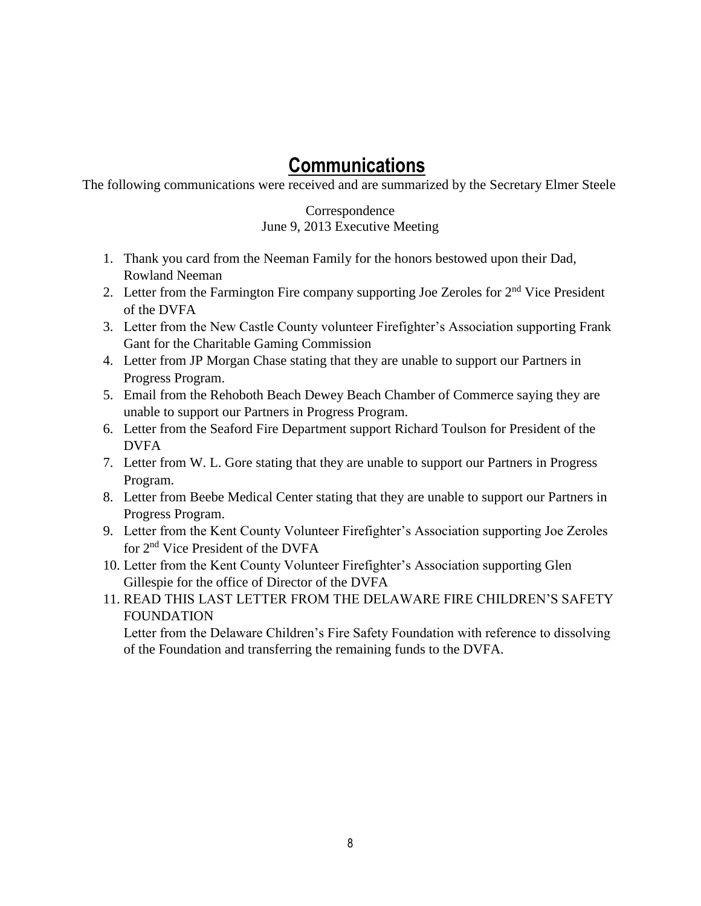### **Communications**

The following communications were received and are summarized by the Secretary Elmer Steele

#### Correspondence June 9, 2013 Executive Meeting

- 1. Thank you card from the Neeman Family for the honors bestowed upon their Dad, Rowland Neeman
- 2. Letter from the Farmington Fire company supporting Joe Zeroles for  $2<sup>nd</sup>$  Vice President of the DVFA
- 3. Letter from the New Castle County volunteer Firefighter's Association supporting Frank Gant for the Charitable Gaming Commission
- 4. Letter from JP Morgan Chase stating that they are unable to support our Partners in Progress Program.
- 5. Email from the Rehoboth Beach Dewey Beach Chamber of Commerce saying they are unable to support our Partners in Progress Program.
- 6. Letter from the Seaford Fire Department support Richard Toulson for President of the DVFA
- 7. Letter from W. L. Gore stating that they are unable to support our Partners in Progress Program.
- 8. Letter from Beebe Medical Center stating that they are unable to support our Partners in Progress Program.
- 9. Letter from the Kent County Volunteer Firefighter's Association supporting Joe Zeroles for 2nd Vice President of the DVFA
- 10. Letter from the Kent County Volunteer Firefighter's Association supporting Glen Gillespie for the office of Director of the DVFA
- 11. READ THIS LAST LETTER FROM THE DELAWARE FIRE CHILDREN'S SAFETY FOUNDATION

Letter from the Delaware Children's Fire Safety Foundation with reference to dissolving of the Foundation and transferring the remaining funds to the DVFA.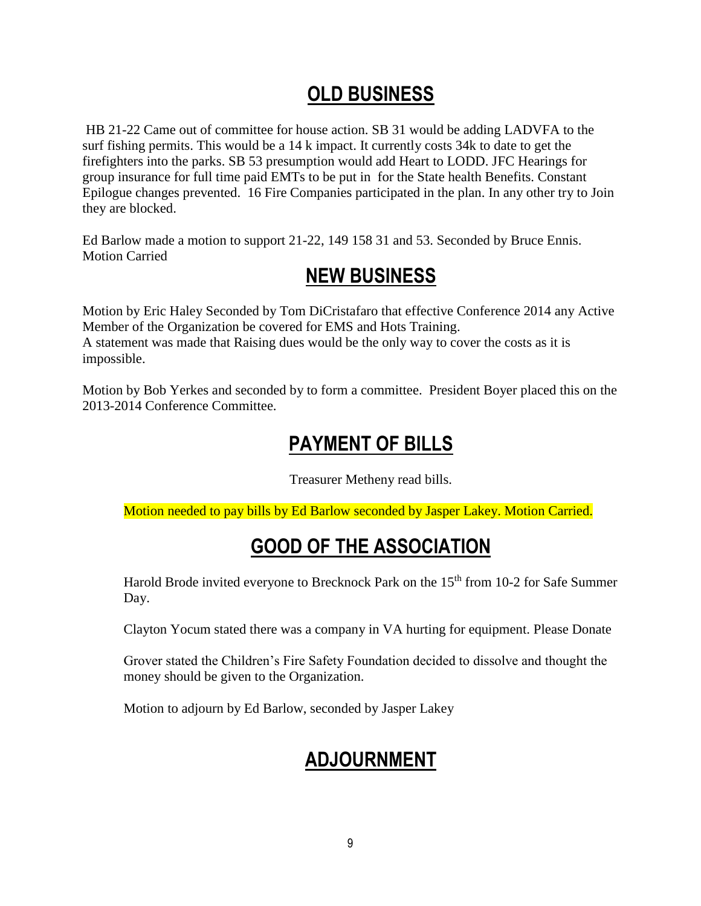# **OLD BUSINESS**

HB 21-22 Came out of committee for house action. SB 31 would be adding LADVFA to the surf fishing permits. This would be a 14 k impact. It currently costs 34k to date to get the firefighters into the parks. SB 53 presumption would add Heart to LODD. JFC Hearings for group insurance for full time paid EMTs to be put in for the State health Benefits. Constant Epilogue changes prevented. 16 Fire Companies participated in the plan. In any other try to Join they are blocked.

Ed Barlow made a motion to support 21-22, 149 158 31 and 53. Seconded by Bruce Ennis. Motion Carried

# **NEW BUSINESS**

Motion by Eric Haley Seconded by Tom DiCristafaro that effective Conference 2014 any Active Member of the Organization be covered for EMS and Hots Training. A statement was made that Raising dues would be the only way to cover the costs as it is impossible.

Motion by Bob Yerkes and seconded by to form a committee. President Boyer placed this on the 2013-2014 Conference Committee.

# **PAYMENT OF BILLS**

Treasurer Metheny read bills.

Motion needed to pay bills by Ed Barlow seconded by Jasper Lakey. Motion Carried.

# **GOOD OF THE ASSOCIATION**

Harold Brode invited everyone to Brecknock Park on the 15<sup>th</sup> from 10-2 for Safe Summer Day.

Clayton Yocum stated there was a company in VA hurting for equipment. Please Donate

Grover stated the Children's Fire Safety Foundation decided to dissolve and thought the money should be given to the Organization.

Motion to adjourn by Ed Barlow, seconded by Jasper Lakey

# **ADJOURNMENT**